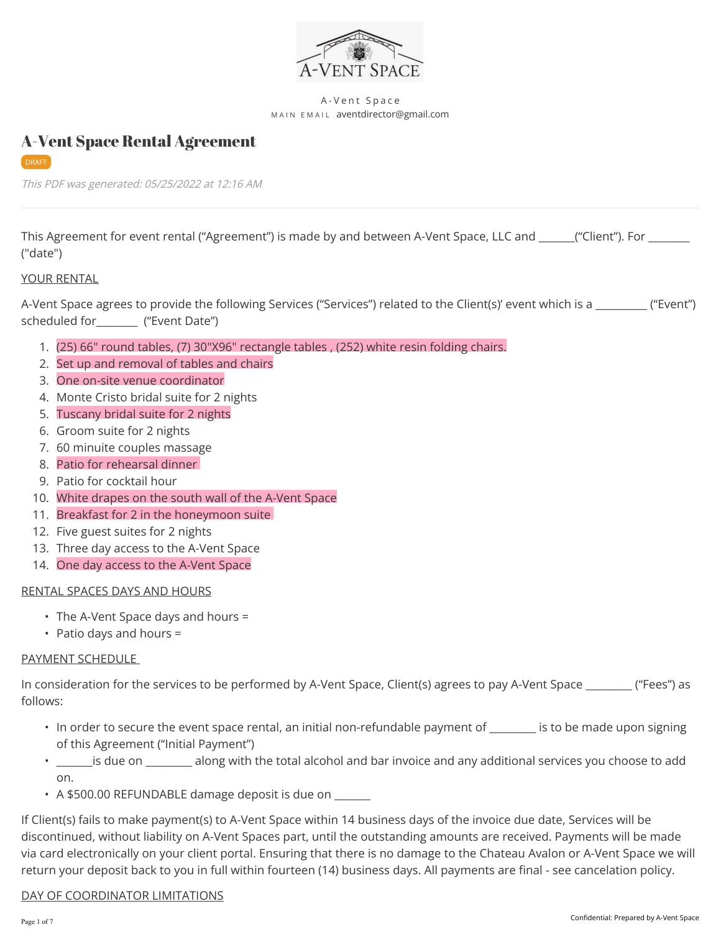

#### A-Vent Space MAIN EMAIL aventdirector@gmail.com

#### DRAFT

This PDF was generated: 05/25/2022 at 12:16 AM

A-Vent Space Rental Agreement

This Agreement for event rental ("Agreement") is made by and between A-Vent Space, LLC and \_\_\_\_\_("Client"). For \_\_\_\_\_ ("date")

#### YOUR RENTAL

A-Vent Space agrees to provide the following Services ("Services") related to the Client(s)' event which is a \_\_\_\_\_\_\_\_\_\_ ("Event") scheduled for\_\_\_\_\_\_\_\_ ("Event Date")

- 1. (25) 66" round tables, (7) 30"X96" rectangle tables , (252) white resin folding chairs.
- 2. Set up and removal of tables and chairs
- 3. One on-site venue coordinator
- 4. Monte Cristo bridal suite for 2 nights
- 5. Tuscany bridal suite for 2 nights
- 6. Groom suite for 2 nights
- 7. 60 minuite couples massage
- 8. Patio for rehearsal dinner
- 9. Patio for cocktail hour
- 10. White drapes on the south wall of the A-Vent Space
- 11. Breakfast for 2 in the honeymoon suite
- 12. Five guest suites for 2 nights
- 13. Three day access to the A-Vent Space
- 14. One day access to the A-Vent Space

#### RENTAL SPACES DAYS AND HOURS

- The A-Vent Space days and hours =
- Patio days and hours =

#### PAYMENT SCHEDULE

In consideration for the services to be performed by A-Vent Space, Client(s) agrees to pay A-Vent Space \_\_\_\_\_\_\_\_\_ ("Fees") as follows:

- In order to secure the event space rental, an initial non-refundable payment of \_\_\_\_\_\_\_\_ is to be made upon signing of this Agreement ("Initial Payment")
- \_\_\_\_\_\_\_is due on \_\_\_\_\_\_\_\_\_ along with the total alcohol and bar invoice and any additional services you choose to add
- on.<br>• A \$500.00 REFUNDABLE damage deposit is due on \_\_\_\_\_\_\_\_\_\_\_\_\_\_\_\_\_\_\_\_\_\_\_\_\_\_\_\_\_\_\_\_

If Client(s) fails to make payment(s) to A-Vent Space within 14 business days of the invoice due date, Services will be discontinued, without liability on A-Vent Spaces part, until the outstanding amounts are received. Payments will be made via card electronically on your client portal. Ensuring that there is no damage to the Chateau Avalon or A-Vent Space we will return your deposit back to you in full within fourteen (14) business days. All payments are final - see cancelation policy.

## DAY OF COORDINATOR LIMITATIONS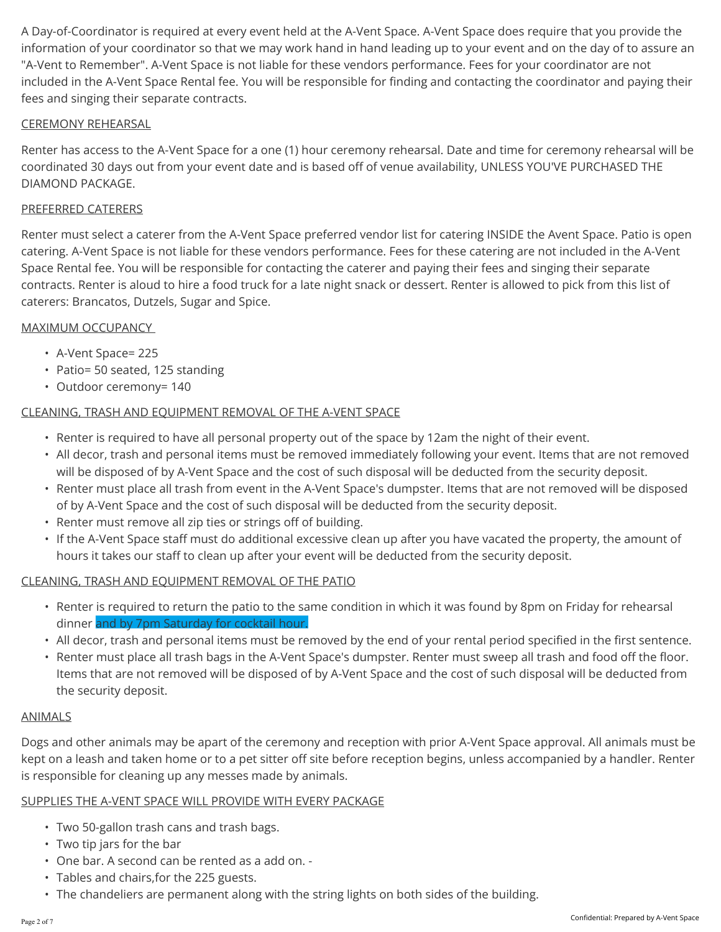A Day-of-Coordinator is required at every event held at the A-Vent Space. A-Vent Space does require that you provide the information of your coordinator so that we may work hand in hand leading up to your event and on the day of to assure an "A-Vent to Remember". A-Vent Space is not liable for these vendors performance. Fees for your coordinator are not included in the A-Vent Space Rental fee. You will be responsible for finding and contacting the coordinator and paying their fees and singing their separate contracts.

## CEREMONY REHEARSAL

Renter has access to the A-Vent Space for a one (1) hour ceremony rehearsal. Date and time for ceremony rehearsal will be coordinated 30 days out from your event date and is based off of venue availability, UNLESS YOU'VE PURCHASED THE DIAMOND PACKAGE.

## PREFERRED CATERERS

Renter must select a caterer from the A-Vent Space preferred vendor list for catering INSIDE the Avent Space. Patio is open catering. A-Vent Space is not liable for these vendors performance. Fees for these catering are not included in the A-Vent Space Rental fee. You will be responsible for contacting the caterer and paying their fees and singing their separate contracts. Renter is aloud to hire a food truck for a late night snack or dessert. Renter is allowed to pick from this list of caterers: Brancatos, Dutzels, Sugar and Spice.

- MAXIMUM OCCUPANCY<br>• A-Vent Space= 225
	- Patio= 50 seated, 125 standing
	- Outdoor ceremony= 140

## CLEANING, TRASH AND EQUIPMENT REMOVAL OF THE A-VENT SPACE

- Renter is required to have all personal property out of the space by 12am the night of their event.
- All decor, trash and personal items must be removed immediately following your event. Items that are not removed will be disposed of by A-Vent Space and the cost of such disposal will be deducted from the security deposit.
- Renter must place all trash from event in the A-Vent Space's dumpster. Items that are not removed will be disposed of by A-Vent Space and the cost of such disposal will be deducted from the security deposit.
- Renter must remove all zip ties or strings off of building.
- If the A-Vent Space staff must do additional excessive clean up after you have vacated the property, the amount of hours it takes our staff to clean up after your event will be deducted from the security deposit.

# CLEANING, TRASH AND EQUIPMENT REMOVAL OF THE PATIO

- Renter is required to return the patio to the same condition in which it was found by 8pm on Friday for rehearsal dinner and by 7pm Saturday for cocktail hour.
- All decor, trash and personal items must be removed by the end of your rental period specified in the first sentence.
- Renter must place all trash bags in the A-Vent Space's dumpster. Renter must sweep all trash and food off the floor. Items that are not removed will be disposed of by A-Vent Space and the cost of such disposal will be deducted from the security deposit.

## ANIMALS

Dogs and other animals may be apart of the ceremony and reception with prior A-Vent Space approval. All animals must be kept on a leash and taken home or to a pet sitter off site before reception begins, unless accompanied by a handler. Renter is responsible for cleaning up any messes made by animals.

## SUPPLIES THE A-VENT SPACE WILL PROVIDE WITH EVERY PACKAGE

- Two 50-gallon trash cans and trash bags.
- Two tip jars for the bar
- One bar. A second can be rented as a add on. -
- Tables and chairs,for the 225 guests.
- The chandeliers are permanent along with the string lights on both sides of the building.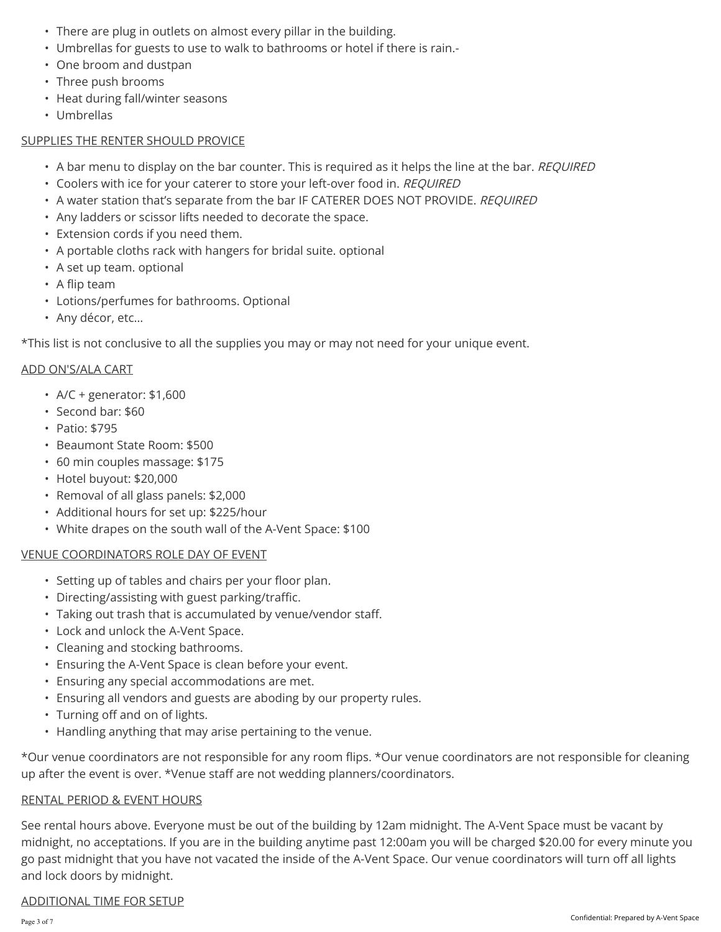- There are plug in outlets on almost every pillar in the building.
- Umbrellas for guests to use to walk to bathrooms or hotel if there is rain.-
- One broom and dustpan
- 
- Three push brooms<br>• Heat during fall/winter seasons
- Umbrellas

## SUPPLIES THE RENTER SHOULD PROVICE

- A bar menu to display on the bar counter. This is required as it helps the line at the bar. REQUIRED
- Coolers with ice for your caterer to store your left-over food in. REQUIRED
- A water station that's separate from the bar IF CATERER DOES NOT PROVIDE. REQUIRED
- Any ladders or scissor lifts needed to decorate the space.
- Extension cords if you need them.
- A portable cloths rack with hangers for bridal suite. optional
- A set up team. optional
- 
- A flip team<br>• Lotions/perfumes for bathrooms. Optional
- Any décor, etc…

\*This list is not conclusive to all the supplies you may or may not need for your unique event.

# ADD ON'S/ALA CART

- A/C + generator: \$1,600
- Second bar: \$60
- Patio: \$795
- Beaumont State Room: \$500
- 60 min couples massage: \$175
- Hotel buyout: \$20,000
- Removal of all glass panels: \$2,000
- Additional hours for set up: \$225/hour
- White drapes on the south wall of the A-Vent Space: \$100

# VENUE COORDINATORS ROLE DAY OF EVENT

- Setting up of tables and chairs per your floor plan.
- 
- Directing/assisting with guest parking/traffic. Taking out trash that is accumulated by venue/vendor staff.
- Lock and unlock the A-Vent Space.
- Cleaning and stocking bathrooms.
- Ensuring the A-Vent Space is clean before your event.
- Ensuring any special accommodations are met.
- Ensuring all vendors and guests are aboding by our property rules. Turning off and on of lights. Handling anything that may arise pertaining to the venue.
- 
- 

\*Our venue coordinators are not responsible for any room flips. \*Our venue coordinators are not responsible for cleaning up after the event is over. \*Venue staff are not wedding planners/coordinators.

# RENTAL PERIOD & EVENT HOURS

See rental hours above. Everyone must be out of the building by 12am midnight. The A-Vent Space must be vacant by midnight, no acceptations. If you are in the building anytime past 12:00am you will be charged \$20.00 for every minute you go past midnight that you have not vacated the inside of the A-Vent Space. Our venue coordinators will turn off all lights and lock doors by midnight.

# ADDITIONAL TIME FOR SETUP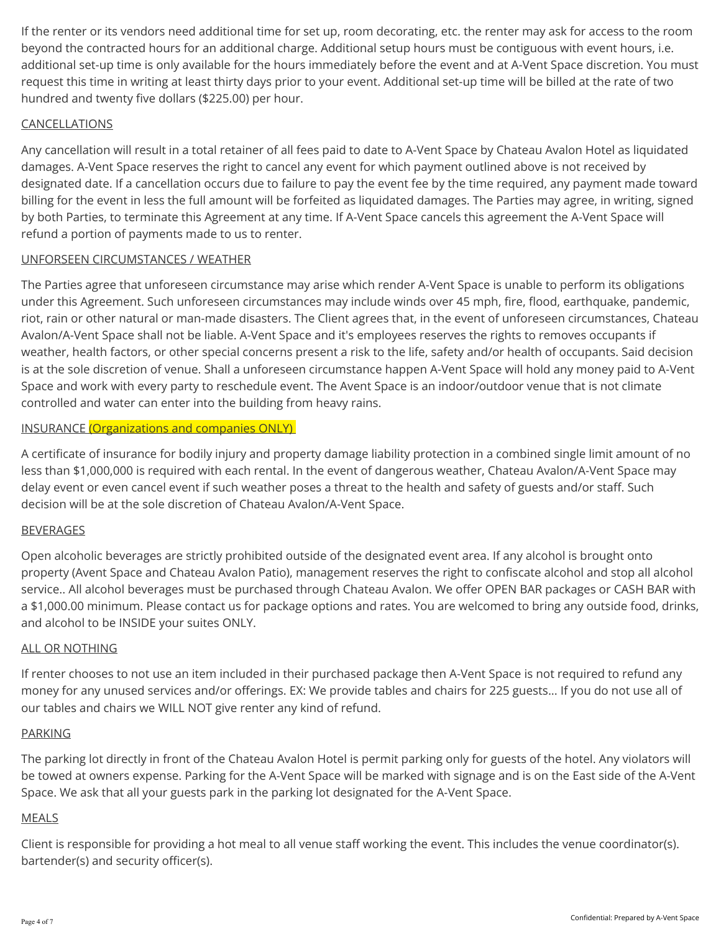If the renter or its vendors need additional time for set up, room decorating, etc. the renter may ask for access to the room beyond the contracted hours for an additional charge. Additional setup hours must be contiguous with event hours, i.e. additional set-up time is only available for the hours immediately before the event and at A-Vent Space discretion. You must request this time in writing at least thirty days prior to your event. Additional set-up time will be billed at the rate of two hundred and twenty five dollars (\$225.00) per hour.

## CANCELLATIONS

Any cancellation will result in a total retainer of all fees paid to date to A-Vent Space by Chateau Avalon Hotel as liquidated damages. A-Vent Space reserves the right to cancel any event for which payment outlined above is not received by designated date. If a cancellation occurs due to failure to pay the event fee by the time required, any payment made toward billing for the event in less the full amount will be forfeited as liquidated damages. The Parties may agree, in writing, signed by both Parties, to terminate this Agreement at any time. If A-Vent Space cancels this agreement the A-Vent Space will refund a portion of payments made to us to renter.

## UNFORSEEN CIRCUMSTANCES / WEATHER

The Parties agree that unforeseen circumstance may arise which render A-Vent Space is unable to perform its obligations under this Agreement. Such unforeseen circumstances may include winds over 45 mph, fire, flood, earthquake, pandemic, riot, rain or other natural or man-made disasters. The Client agrees that, in the event of unforeseen circumstances, Chateau Avalon/A-Vent Space shall not be liable. A-Vent Space and it's employees reserves the rights to removes occupants if weather, health factors, or other special concerns present a risk to the life, safety and/or health of occupants. Said decision is at the sole discretion of venue. Shall a unforeseen circumstance happen A-Vent Space will hold any money paid to A-Vent Space and work with every party to reschedule event. The Avent Space is an indoor/outdoor venue that is not climate controlled and water can enter into the building from heavy rains.

#### INSURANCE (Organizations and companies ONLY)

A certificate of insurance for bodily injury and property damage liability protection in a combined single limit amount of no less than \$1,000,000 is required with each rental. In the event of dangerous weather, Chateau Avalon/A-Vent Space may delay event or even cancel event if such weather poses a threat to the health and safety of guests and/or staff. Such decision will be at the sole discretion of Chateau Avalon/A-Vent Space.

#### BEVERAGES

Open alcoholic beverages are strictly prohibited outside of the designated event area. If any alcohol is brought onto property (Avent Space and Chateau Avalon Patio), management reserves the right to confiscate alcohol and stop all alcohol service.. All alcohol beverages must be purchased through Chateau Avalon. We offer OPEN BAR packages or CASH BAR with a \$1,000.00 minimum. Please contact us for package options and rates. You are welcomed to bring any outside food, drinks, and alcohol to be INSIDE your suites ONLY.

#### ALL OR NOTHING

If renter chooses to not use an item included in their purchased package then A-Vent Space is not required to refund any money for any unused services and/or offerings. EX: We provide tables and chairs for 225 guests... If you do not use all of our tables and chairs we WILL NOT give renter any kind of refund.

## PARKING

The parking lot directly in front of the Chateau Avalon Hotel is permit parking only for guests of the hotel. Any violators will be towed at owners expense. Parking for the A-Vent Space will be marked with signage and is on the East side of the A-Vent Space. We ask that all your guests park in the parking lot designated for the A-Vent Space.

## MEALS

Client is responsible for providing a hot meal to all venue staff working the event. This includes the venue coordinator(s). bartender(s) and security officer(s).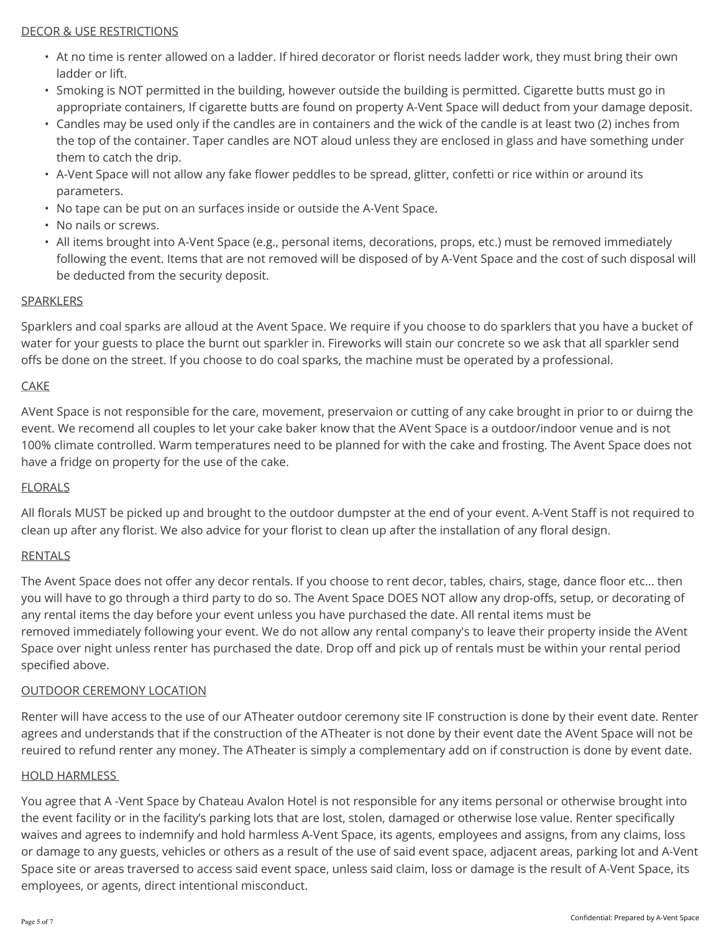## DECOR & USE RESTRICTIONS

- At no time is renter allowed on a ladder. If hired decorator or florist needs ladder work, they must bring their own ladder or lift.
- Smoking is NOT permitted in the building, however outside the building is permitted. Cigarette butts must go in appropriate containers, If cigarette butts are found on property A-Vent Space will deduct from your damage deposit.
- Candles may be used only if the candles are in containers and the wick of the candle is at least two (2) inches from the top of the container. Taper candles are NOT aloud unless they are enclosed in glass and have something under them to catch the drip. • A-Vent Space will not allow any fake flower peddles to be spread, glitter, confetti or rice within or around its
- parameters.
- No tape can be put on an surfaces inside or outside the A-Vent Space.
- No nails or screws.
- All items brought into A-Vent Space (e.g., personal items, decorations, props, etc.) must be removed immediately following the event. Items that are not removed will be disposed of by A-Vent Space and the cost of such disposal will be deducted from the security deposit.

# SPARKLERS

Sparklers and coal sparks are alloud at the Avent Space. We require if you choose to do sparklers that you have a bucket of water for your guests to place the burnt out sparkler in. Fireworks will stain our concrete so we ask that all sparkler send offs be done on the street. If you choose to do coal sparks, the machine must be operated by a professional.

# **CAKE CAKE**

AVent Space is not responsible for the care, movement, preservaion or cutting of any cake brought in prior to or duirng the event. We recomend all couples to let your cake baker know that the AVent Space is a outdoor/indoor venue and is not 100% climate controlled. Warm temperatures need to be planned for with the cake and frosting. The Avent Space does not have a fridge on property for the use of the cake.

# FLORALS

All florals MUST be picked up and brought to the outdoor dumpster at the end of your event. A-Vent Staff is not required to clean up after any florist. We also advice for your florist to clean up after the installation of any floral design.

# RENTALS

The Avent Space does not offer any decor rentals. If you choose to rent decor, tables, chairs, stage, dance floor etc... then you will have to go through a third party to do so. The Avent Space DOES NOT allow any drop-offs, setup, or decorating of any rental items the day before your event unless you have purchased the date. All rental items must be removed immediately following your event. We do not allow any rental company's to leave their property inside the AVent Space over night unless renter has purchased the date. Drop off and pick up of rentals must be within your rental period specified above.

# OUTDOOR CEREMONY LOCATION

Renter will have access to the use of our ATheater outdoor ceremony site IF construction is done by their event date. Renter agrees and understands that if the construction of the ATheater is not done by their event date the AVent Space will not be reuired to refund renter any money. The ATheater is simply a complementary add on if construction is done by event date.

## HOLD HARMLESS

You agree that A -Vent Space by Chateau Avalon Hotel is not responsible for any items personal or otherwise brought into the event facility or in the facility's parking lots that are lost, stolen, damaged or otherwise lose value. Renter specifically waives and agrees to indemnify and hold harmless A-Vent Space, its agents, employees and assigns, from any claims, loss or damage to any guests, vehicles or others as a result of the use of said event space, adjacent areas, parking lot and A-Vent Space site or areas traversed to access said event space, unless said claim, loss or damage is the result of A-Vent Space, its employees, or agents, direct intentional misconduct.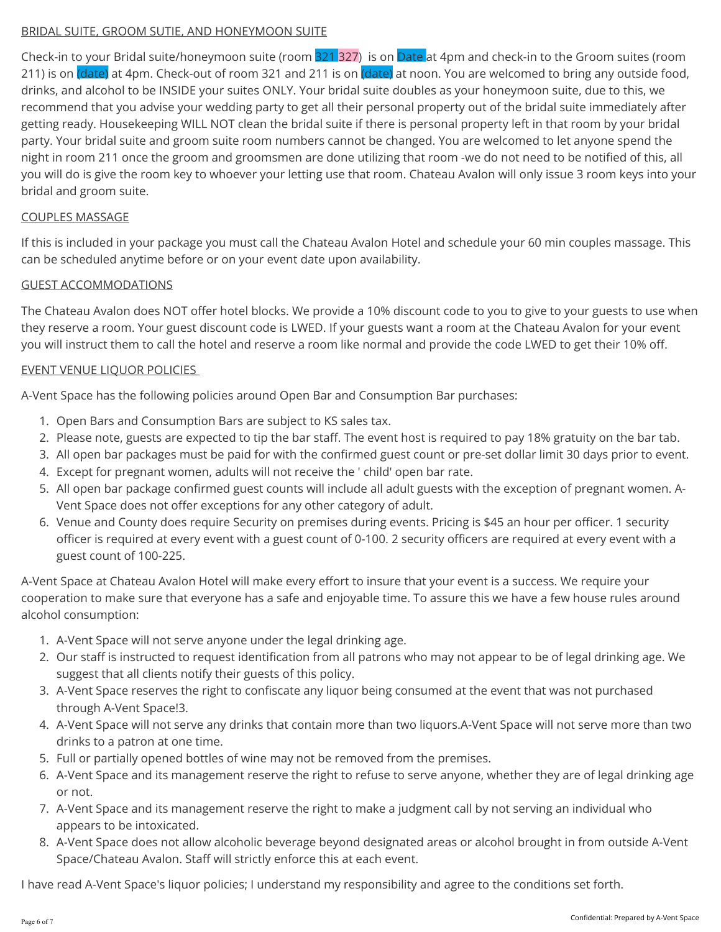## BRIDAL SUITE, GROOM SUTIE, AND HONEYMOON SUITE

Check-in to your Bridal suite/honeymoon suite (room 321 327) is on Date at 4pm and check-in to the Groom suites (room 211) is on (date) at 4pm. Check-out of room 321 and 211 is on (date) at noon. You are welcomed to bring any outside food, drinks, and alcohol to be INSIDE your suites ONLY. Your bridal suite doubles as your honeymoon suite, due to this, we recommend that you advise your wedding party to get all their personal property out of the bridal suite immediately after getting ready. Housekeeping WILL NOT clean the bridal suite if there is personal property left in that room by your bridal party. Your bridal suite and groom suite room numbers cannot be changed. You are welcomed to let anyone spend the night in room 211 once the groom and groomsmen are done utilizing that room -we do not need to be notified of this, all you will do is give the room key to whoever your letting use that room. Chateau Avalon will only issue 3 room keys into your bridal and groom suite.

## COUPLES MASSAGE

If this is included in your package you must call the Chateau Avalon Hotel and schedule your 60 min couples massage. This can be scheduled anytime before or on your event date upon availability.

## GUEST ACCOMMODATIONS

The Chateau Avalon does NOT offer hotel blocks. We provide a 10% discount code to you to give to your guests to use when they reserve a room. Your guest discount code is LWED. If your guests want a room at the Chateau Avalon for your event you will instruct them to call the hotel and reserve a room like normal and provide the code LWED to get their 10% off.

## EVENT VENUE LIQUOR POLICIES

A-Vent Space has the following policies around Open Bar and Consumption Bar purchases:

- 1. Open Bars and Consumption Bars are subject to KS sales tax.
- 2. Please note, guests are expected to tip the bar staff. The event host is required to pay 18% gratuity on the bar tab.
- 3. All open bar packages must be paid for with the confirmed guest count or pre-set dollar limit 30 days prior to event.
- 4. Except for pregnant women, adults will not receive the ' child' open bar rate.
- 5. All open bar package confirmed guest counts will include all adult guests with the exception of pregnant women. A-Vent Space does not offer exceptions for any other category of adult.
- 6. Venue and County does require Security on premises during events. Pricing is \$45 an hour per officer. 1 security officer is required at every event with a guest count of 0-100. 2 security officers are required at every event with a guest count of 100-225.

A-Vent Space at Chateau Avalon Hotel will make every effort to insure that your event is a success. We require your cooperation to make sure that everyone has a safe and enjoyable time. To assure this we have a few house rules around alcohol consumption:

- 1. A-Vent Space will not serve anyone under the legal drinking age.
- 2. Our staff is instructed to request identification from all patrons who may not appear to be of legal drinking age. We suggest that all clients notify their guests of this policy.
- 3. A-Vent Space reserves the right to confiscate any liquor being consumed at the event that was not purchased through A-Vent Space!3.
- 4. A-Vent Space will not serve any drinks that contain more than two liquors.A-Vent Space will not serve more than two drinks to a patron at one time.
- 5. Full or partially opened bottles of wine may not be removed from the premises.
- 6. A-Vent Space and its management reserve the right to refuse to serve anyone, whether they are of legal drinking age or not.
- 7. A-Vent Space and its management reserve the right to make a judgment call by not serving an individual who appears to be intoxicated.
- 8. A-Vent Space does not allow alcoholic beverage beyond designated areas or alcohol brought in from outside A-Vent Space/Chateau Avalon. Staff will strictly enforce this at each event.

I have read A-Vent Space's liquor policies; I understand my responsibility and agree to the conditions set forth.